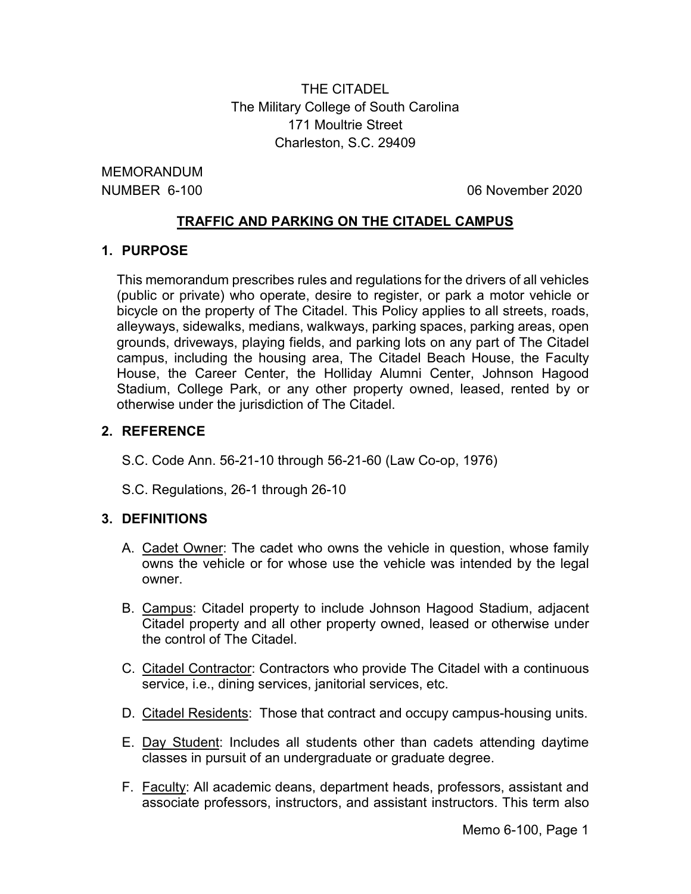THE CITADEL The Military College of South Carolina 171 Moultrie Street Charleston, S.C. 29409

MEMORANDUM

NUMBER 6-100 06 November 2020

## **TRAFFIC AND PARKING ON THE CITADEL CAMPUS**

## **1. PURPOSE**

This memorandum prescribes rules and regulations for the drivers of all vehicles (public or private) who operate, desire to register, or park a motor vehicle or bicycle on the property of The Citadel. This Policy applies to all streets, roads, alleyways, sidewalks, medians, walkways, parking spaces, parking areas, open grounds, driveways, playing fields, and parking lots on any part of The Citadel campus, including the housing area, The Citadel Beach House, the Faculty House, the Career Center, the Holliday Alumni Center, Johnson Hagood Stadium, College Park, or any other property owned, leased, rented by or otherwise under the jurisdiction of The Citadel.

## **2. REFERENCE**

S.C. Code Ann. 56-21-10 through 56-21-60 (Law Co-op, 1976)

S.C. Regulations, 26-1 through 26-10

## **3. DEFINITIONS**

- A. Cadet Owner: The cadet who owns the vehicle in question, whose family owns the vehicle or for whose use the vehicle was intended by the legal owner.
- B. Campus: Citadel property to include Johnson Hagood Stadium, adjacent Citadel property and all other property owned, leased or otherwise under the control of The Citadel.
- C. Citadel Contractor: Contractors who provide The Citadel with a continuous service, i.e., dining services, janitorial services, etc.
- D. Citadel Residents: Those that contract and occupy campus-housing units.
- E. Day Student: Includes all students other than cadets attending daytime classes in pursuit of an undergraduate or graduate degree.
- F. Faculty: All academic deans, department heads, professors, assistant and associate professors, instructors, and assistant instructors. This term also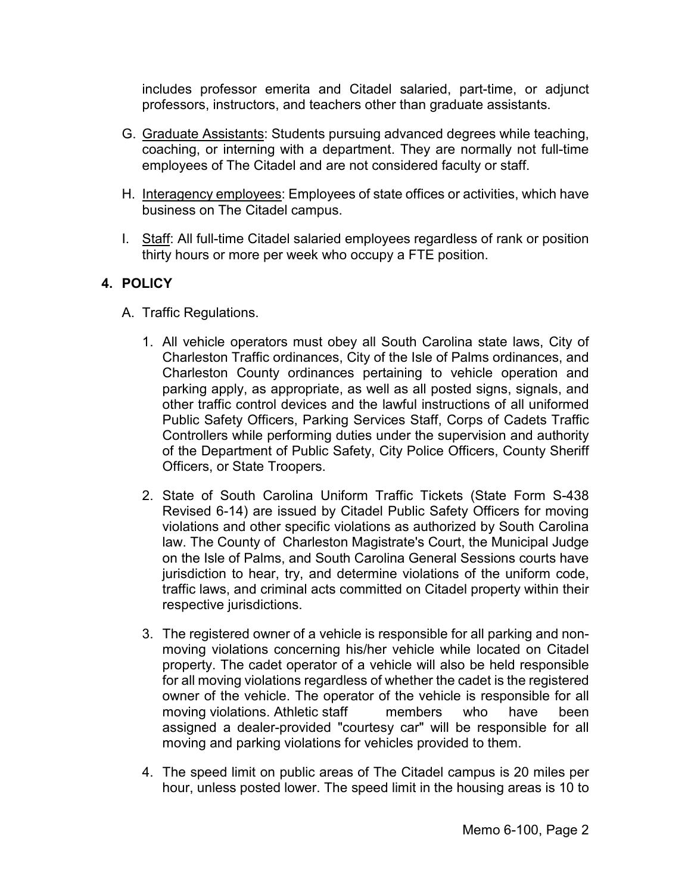includes professor emerita and Citadel salaried, part-time, or adjunct professors, instructors, and teachers other than graduate assistants.

- G. Graduate Assistants: Students pursuing advanced degrees while teaching, coaching, or interning with a department. They are normally not full-time employees of The Citadel and are not considered faculty or staff.
- H. Interagency employees: Employees of state offices or activities, which have business on The Citadel campus.
- I. Staff: All full-time Citadel salaried employees regardless of rank or position thirty hours or more per week who occupy a FTE position.

# **4. POLICY**

- A. Traffic Regulations.
	- 1. All vehicle operators must obey all South Carolina state laws, City of Charleston Traffic ordinances, City of the Isle of Palms ordinances, and Charleston County ordinances pertaining to vehicle operation and parking apply, as appropriate, as well as all posted signs, signals, and other traffic control devices and the lawful instructions of all uniformed Public Safety Officers, Parking Services Staff, Corps of Cadets Traffic Controllers while performing duties under the supervision and authority of the Department of Public Safety, City Police Officers, County Sheriff Officers, or State Troopers.
	- 2. State of South Carolina Uniform Traffic Tickets (State Form S-438 Revised 6-14) are issued by Citadel Public Safety Officers for moving violations and other specific violations as authorized by South Carolina law. The County of Charleston Magistrate's Court, the Municipal Judge on the Isle of Palms, and South Carolina General Sessions courts have jurisdiction to hear, try, and determine violations of the uniform code, traffic laws, and criminal acts committed on Citadel property within their respective jurisdictions.
	- 3. The registered owner of a vehicle is responsible for all parking and nonmoving violations concerning his/her vehicle while located on Citadel property. The cadet operator of a vehicle will also be held responsible for all moving violations regardless of whether the cadet is the registered owner of the vehicle. The operator of the vehicle is responsible for all moving violations. Athletic staff members who have been assigned a dealer-provided "courtesy car" will be responsible for all moving and parking violations for vehicles provided to them.
	- 4. The speed limit on public areas of The Citadel campus is 20 miles per hour, unless posted lower. The speed limit in the housing areas is 10 to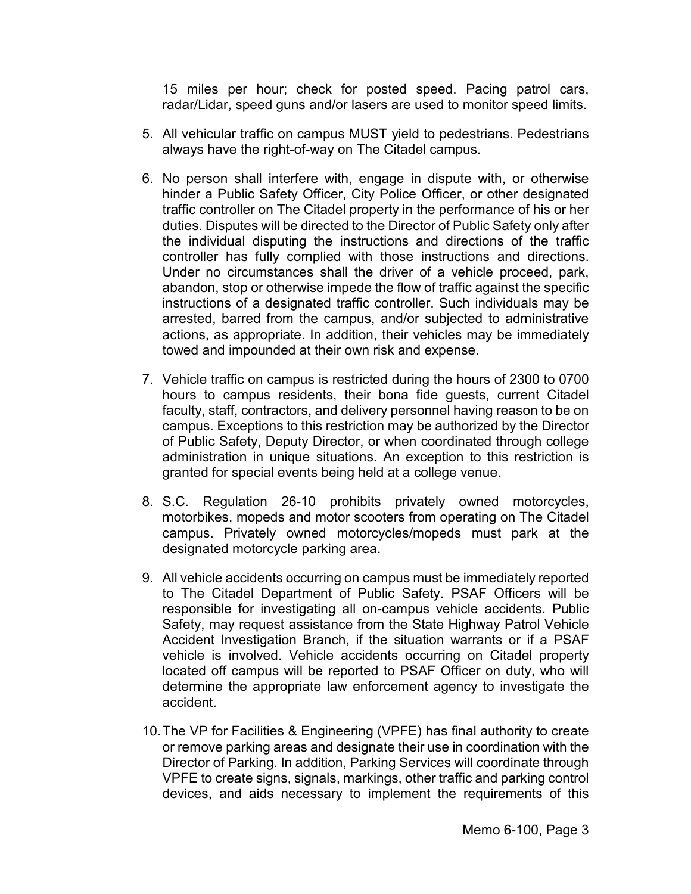15 miles per hour; check for posted speed. Pacing patrol cars, radar/Lidar, speed guns and/or lasers are used to monitor speed limits.

- 5. All vehicular traffic on campus MUST yield to pedestrians. Pedestrians always have the right-of-way on The Citadel campus.
- 6. No person shall interfere with, engage in dispute with, or otherwise hinder a Public Safety Officer, City Police Officer, or other designated traffic controller on The Citadel property in the performance of his or her duties. Disputes will be directed to the Director of Public Safety only after the individual disputing the instructions and directions of the traffic controller has fully complied with those instructions and directions. Under no circumstances shall the driver of a vehicle proceed, park, abandon, stop or otherwise impede the flow of traffic against the specific instructions of a designated traffic controller. Such individuals may be arrested, barred from the campus, and/or subjected to administrative actions, as appropriate. In addition, their vehicles may be immediately towed and impounded at their own risk and expense.
- 7. Vehicle traffic on campus is restricted during the hours of 2300 to 0700 hours to campus residents, their bona fide guests, current Citadel faculty, staff, contractors, and delivery personnel having reason to be on campus. Exceptions to this restriction may be authorized by the Director of Public Safety, Deputy Director, or when coordinated through college administration in unique situations. An exception to this restriction is granted for special events being held at a college venue.
- 8. S.C. Regulation 26-10 prohibits privately owned motorcycles, motorbikes, mopeds and motor scooters from operating on The Citadel campus. Privately owned motorcycles/mopeds must park at the designated motorcycle parking area.
- 9. All vehicle accidents occurring on campus must be immediately reported to The Citadel Department of Public Safety. PSAF Officers will be responsible for investigating all on-campus vehicle accidents. Public Safety, may request assistance from the State Highway Patrol Vehicle Accident Investigation Branch, if the situation warrants or if a PSAF vehicle is involved. Vehicle accidents occurring on Citadel property located off campus will be reported to PSAF Officer on duty, who will determine the appropriate law enforcement agency to investigate the accident.
- 10.The VP for Facilities & Engineering (VPFE) has final authority to create or remove parking areas and designate their use in coordination with the Director of Parking. In addition, Parking Services will coordinate through VPFE to create signs, signals, markings, other traffic and parking control devices, and aids necessary to implement the requirements of this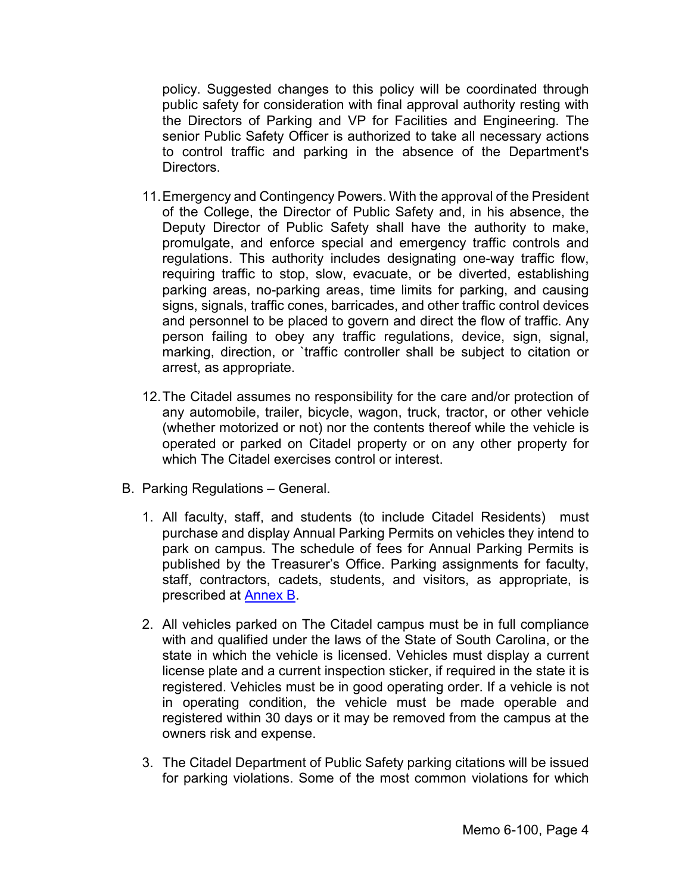policy. Suggested changes to this policy will be coordinated through public safety for consideration with final approval authority resting with the Directors of Parking and VP for Facilities and Engineering. The senior Public Safety Officer is authorized to take all necessary actions to control traffic and parking in the absence of the Department's Directors.

- 11.Emergency and Contingency Powers. With the approval of the President of the College, the Director of Public Safety and, in his absence, the Deputy Director of Public Safety shall have the authority to make, promulgate, and enforce special and emergency traffic controls and regulations. This authority includes designating one-way traffic flow, requiring traffic to stop, slow, evacuate, or be diverted, establishing parking areas, no-parking areas, time limits for parking, and causing signs, signals, traffic cones, barricades, and other traffic control devices and personnel to be placed to govern and direct the flow of traffic. Any person failing to obey any traffic regulations, device, sign, signal, marking, direction, or `traffic controller shall be subject to citation or arrest, as appropriate.
- 12.The Citadel assumes no responsibility for the care and/or protection of any automobile, trailer, bicycle, wagon, truck, tractor, or other vehicle (whether motorized or not) nor the contents thereof while the vehicle is operated or parked on Citadel property or on any other property for which The Citadel exercises control or interest.
- B. Parking Regulations General.
	- 1. All faculty, staff, and students (to include Citadel Residents) must purchase and display Annual Parking Permits on vehicles they intend to park on campus. The schedule of fees for Annual Parking Permits is published by the Treasurer's Office. Parking assignments for faculty, staff, contractors, cadets, students, and visitors, as appropriate, is prescribed at [Annex](#page-13-0) B.
	- 2. All vehicles parked on The Citadel campus must be in full compliance with and qualified under the laws of the State of South Carolina, or the state in which the vehicle is licensed. Vehicles must display a current license plate and a current inspection sticker, if required in the state it is registered. Vehicles must be in good operating order. If a vehicle is not in operating condition, the vehicle must be made operable and registered within 30 days or it may be removed from the campus at the owners risk and expense.
	- 3. The Citadel Department of Public Safety parking citations will be issued for parking violations. Some of the most common violations for which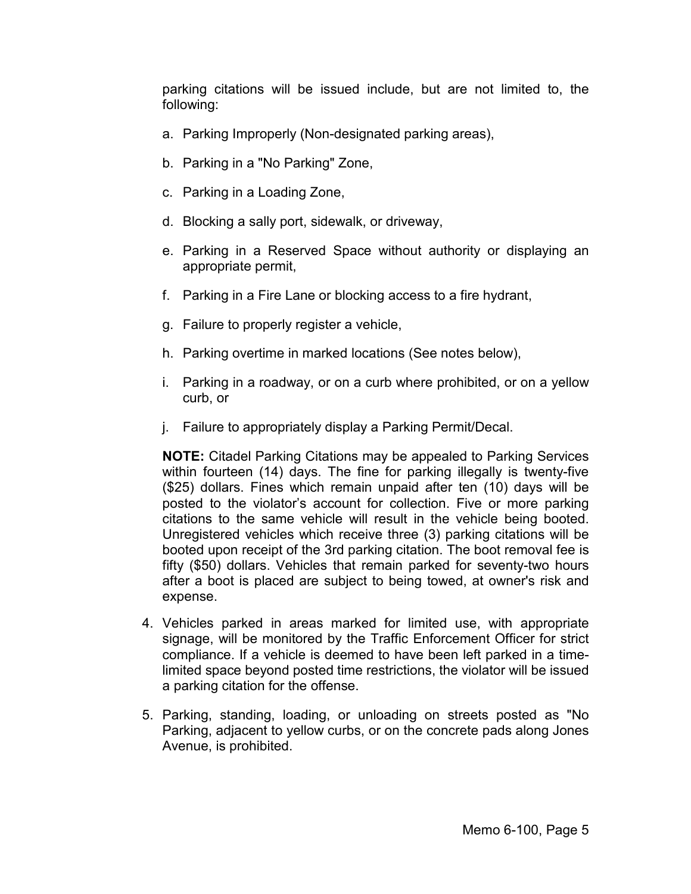parking citations will be issued include, but are not limited to, the following:

- a. Parking Improperly (Non-designated parking areas),
- b. Parking in a "No Parking" Zone,
- c. Parking in a Loading Zone,
- d. Blocking a sally port, sidewalk, or driveway,
- e. Parking in a Reserved Space without authority or displaying an appropriate permit,
- f. Parking in a Fire Lane or blocking access to a fire hydrant,
- g. Failure to properly register a vehicle,
- h. Parking overtime in marked locations (See notes below),
- i. Parking in a roadway, or on a curb where prohibited, or on a yellow curb, or
- j. Failure to appropriately display a Parking Permit/Decal.

**NOTE:** Citadel Parking Citations may be appealed to Parking Services within fourteen (14) days. The fine for parking illegally is twenty-five (\$25) dollars. Fines which remain unpaid after ten (10) days will be posted to the violator's account for collection. Five or more parking citations to the same vehicle will result in the vehicle being booted. Unregistered vehicles which receive three (3) parking citations will be booted upon receipt of the 3rd parking citation. The boot removal fee is fifty (\$50) dollars. Vehicles that remain parked for seventy-two hours after a boot is placed are subject to being towed, at owner's risk and expense.

- 4. Vehicles parked in areas marked for limited use, with appropriate signage, will be monitored by the Traffic Enforcement Officer for strict compliance. If a vehicle is deemed to have been left parked in a timelimited space beyond posted time restrictions, the violator will be issued a parking citation for the offense.
- 5. Parking, standing, loading, or unloading on streets posted as "No Parking, adjacent to yellow curbs, or on the concrete pads along Jones Avenue, is prohibited.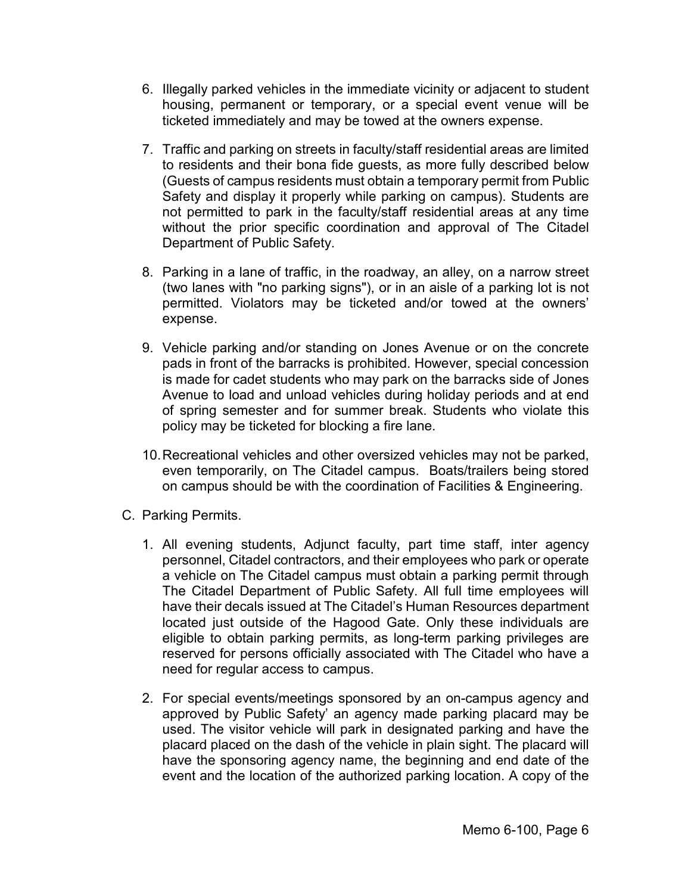- 6. Illegally parked vehicles in the immediate vicinity or adjacent to student housing, permanent or temporary, or a special event venue will be ticketed immediately and may be towed at the owners expense.
- 7. Traffic and parking on streets in faculty/staff residential areas are limited to residents and their bona fide guests, as more fully described below (Guests of campus residents must obtain a temporary permit from Public Safety and display it properly while parking on campus). Students are not permitted to park in the faculty/staff residential areas at any time without the prior specific coordination and approval of The Citadel Department of Public Safety.
- 8. Parking in a lane of traffic, in the roadway, an alley, on a narrow street (two lanes with "no parking signs"), or in an aisle of a parking lot is not permitted. Violators may be ticketed and/or towed at the owners' expense.
- 9. Vehicle parking and/or standing on Jones Avenue or on the concrete pads in front of the barracks is prohibited. However, special concession is made for cadet students who may park on the barracks side of Jones Avenue to load and unload vehicles during holiday periods and at end of spring semester and for summer break. Students who violate this policy may be ticketed for blocking a fire lane.
- 10.Recreational vehicles and other oversized vehicles may not be parked, even temporarily, on The Citadel campus. Boats/trailers being stored on campus should be with the coordination of Facilities & Engineering.
- C. Parking Permits.
	- 1. All evening students, Adjunct faculty, part time staff, inter agency personnel, Citadel contractors, and their employees who park or operate a vehicle on The Citadel campus must obtain a parking permit through The Citadel Department of Public Safety. All full time employees will have their decals issued at The Citadel's Human Resources department located just outside of the Hagood Gate. Only these individuals are eligible to obtain parking permits, as long-term parking privileges are reserved for persons officially associated with The Citadel who have a need for regular access to campus.
	- 2. For special events/meetings sponsored by an on-campus agency and approved by Public Safety' an agency made parking placard may be used. The visitor vehicle will park in designated parking and have the placard placed on the dash of the vehicle in plain sight. The placard will have the sponsoring agency name, the beginning and end date of the event and the location of the authorized parking location. A copy of the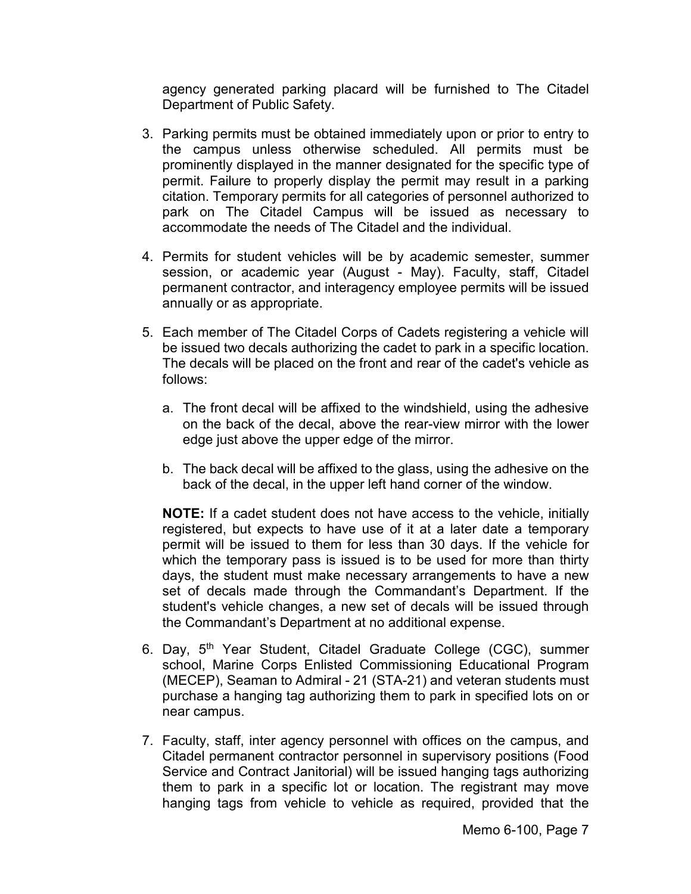agency generated parking placard will be furnished to The Citadel Department of Public Safety.

- 3. Parking permits must be obtained immediately upon or prior to entry to the campus unless otherwise scheduled. All permits must be prominently displayed in the manner designated for the specific type of permit. Failure to properly display the permit may result in a parking citation. Temporary permits for all categories of personnel authorized to park on The Citadel Campus will be issued as necessary to accommodate the needs of The Citadel and the individual.
- 4. Permits for student vehicles will be by academic semester, summer session, or academic year (August - May). Faculty, staff, Citadel permanent contractor, and interagency employee permits will be issued annually or as appropriate.
- 5. Each member of The Citadel Corps of Cadets registering a vehicle will be issued two decals authorizing the cadet to park in a specific location. The decals will be placed on the front and rear of the cadet's vehicle as follows:
	- a. The front decal will be affixed to the windshield, using the adhesive on the back of the decal, above the rear-view mirror with the lower edge just above the upper edge of the mirror.
	- b. The back decal will be affixed to the glass, using the adhesive on the back of the decal, in the upper left hand corner of the window.

**NOTE:** If a cadet student does not have access to the vehicle, initially registered, but expects to have use of it at a later date a temporary permit will be issued to them for less than 30 days. If the vehicle for which the temporary pass is issued is to be used for more than thirty days, the student must make necessary arrangements to have a new set of decals made through the Commandant's Department. If the student's vehicle changes, a new set of decals will be issued through the Commandant's Department at no additional expense.

- 6. Day, 5<sup>th</sup> Year Student, Citadel Graduate College (CGC), summer school, Marine Corps Enlisted Commissioning Educational Program (MECEP), Seaman to Admiral - 21 (STA-21) and veteran students must purchase a hanging tag authorizing them to park in specified lots on or near campus.
- 7. Faculty, staff, inter agency personnel with offices on the campus, and Citadel permanent contractor personnel in supervisory positions (Food Service and Contract Janitorial) will be issued hanging tags authorizing them to park in a specific lot or location. The registrant may move hanging tags from vehicle to vehicle as required, provided that the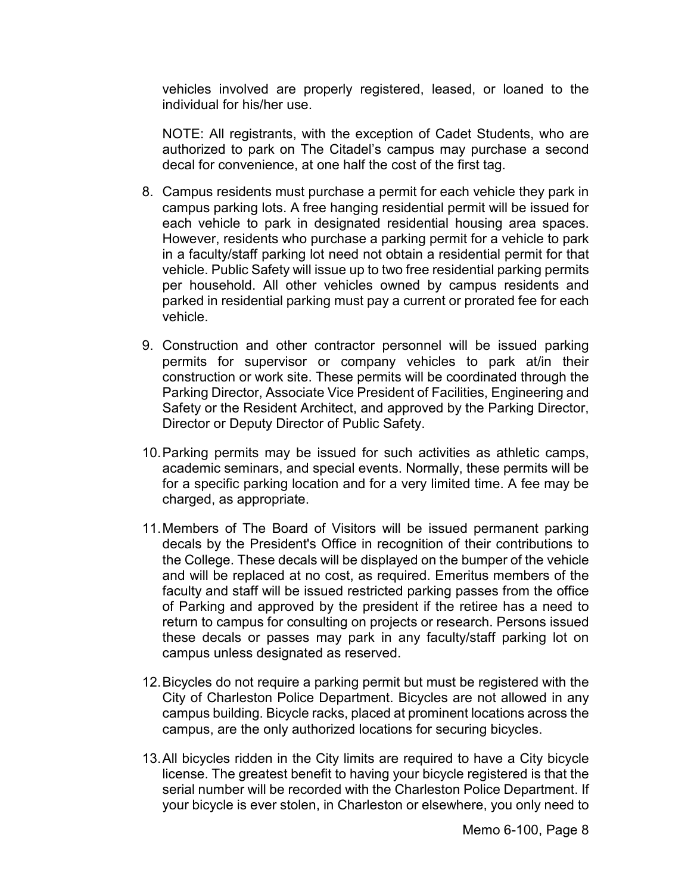vehicles involved are properly registered, leased, or loaned to the individual for his/her use.

NOTE: All registrants, with the exception of Cadet Students, who are authorized to park on The Citadel's campus may purchase a second decal for convenience, at one half the cost of the first tag.

- 8. Campus residents must purchase a permit for each vehicle they park in campus parking lots. A free hanging residential permit will be issued for each vehicle to park in designated residential housing area spaces. However, residents who purchase a parking permit for a vehicle to park in a faculty/staff parking lot need not obtain a residential permit for that vehicle. Public Safety will issue up to two free residential parking permits per household. All other vehicles owned by campus residents and parked in residential parking must pay a current or prorated fee for each vehicle.
- 9. Construction and other contractor personnel will be issued parking permits for supervisor or company vehicles to park at/in their construction or work site. These permits will be coordinated through the Parking Director, Associate Vice President of Facilities, Engineering and Safety or the Resident Architect, and approved by the Parking Director, Director or Deputy Director of Public Safety.
- 10.Parking permits may be issued for such activities as athletic camps, academic seminars, and special events. Normally, these permits will be for a specific parking location and for a very limited time. A fee may be charged, as appropriate.
- 11.Members of The Board of Visitors will be issued permanent parking decals by the President's Office in recognition of their contributions to the College. These decals will be displayed on the bumper of the vehicle and will be replaced at no cost, as required. Emeritus members of the faculty and staff will be issued restricted parking passes from the office of Parking and approved by the president if the retiree has a need to return to campus for consulting on projects or research. Persons issued these decals or passes may park in any faculty/staff parking lot on campus unless designated as reserved.
- 12.Bicycles do not require a parking permit but must be registered with the City of Charleston Police Department. Bicycles are not allowed in any campus building. Bicycle racks, placed at prominent locations across the campus, are the only authorized locations for securing bicycles.
- 13.All bicycles ridden in the City limits are required to have a City bicycle license. The greatest benefit to having your bicycle registered is that the serial number will be recorded with the Charleston Police Department. If your bicycle is ever stolen, in Charleston or elsewhere, you only need to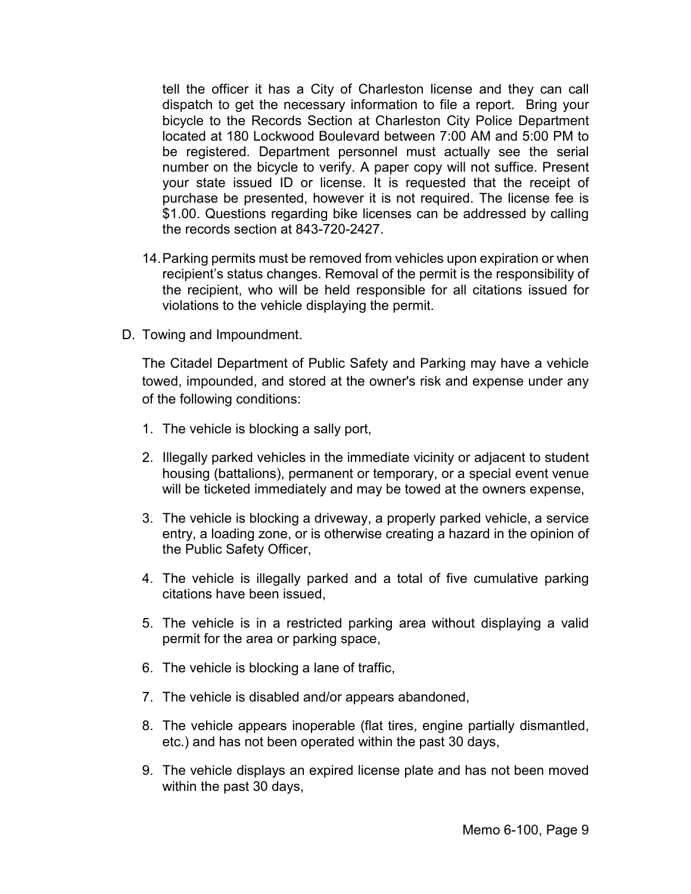tell the officer it has a City of Charleston license and they can call dispatch to get the necessary information to file a report. Bring your bicycle to the Records Section at Charleston City Police Department located at 180 Lockwood Boulevard between 7:00 AM and 5:00 PM to be registered. Department personnel must actually see the serial number on the bicycle to verify. A paper copy will not suffice. Present your state issued ID or license. It is requested that the receipt of purchase be presented, however it is not required. The license fee is \$1.00. Questions regarding bike licenses can be addressed by calling the records section at 843-720-2427.

- 14.Parking permits must be removed from vehicles upon expiration or when recipient's status changes. Removal of the permit is the responsibility of the recipient, who will be held responsible for all citations issued for violations to the vehicle displaying the permit.
- D. Towing and Impoundment.

The Citadel Department of Public Safety and Parking may have a vehicle towed, impounded, and stored at the owner's risk and expense under any of the following conditions:

- 1. The vehicle is blocking a sally port,
- 2. Illegally parked vehicles in the immediate vicinity or adjacent to student housing (battalions), permanent or temporary, or a special event venue will be ticketed immediately and may be towed at the owners expense,
- 3. The vehicle is blocking a driveway, a properly parked vehicle, a service entry, a loading zone, or is otherwise creating a hazard in the opinion of the Public Safety Officer,
- 4. The vehicle is illegally parked and a total of five cumulative parking citations have been issued,
- 5. The vehicle is in a restricted parking area without displaying a valid permit for the area or parking space,
- 6. The vehicle is blocking a lane of traffic,
- 7. The vehicle is disabled and/or appears abandoned,
- 8. The vehicle appears inoperable (flat tires, engine partially dismantled, etc.) and has not been operated within the past 30 days,
- 9. The vehicle displays an expired license plate and has not been moved within the past 30 days,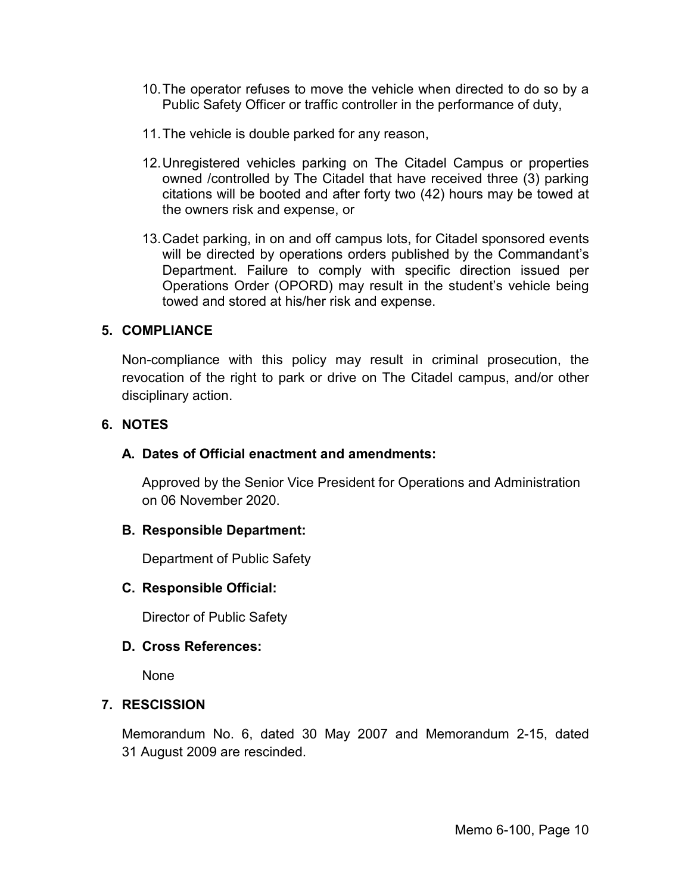- 10.The operator refuses to move the vehicle when directed to do so by a Public Safety Officer or traffic controller in the performance of duty,
- 11.The vehicle is double parked for any reason,
- 12.Unregistered vehicles parking on The Citadel Campus or properties owned /controlled by The Citadel that have received three (3) parking citations will be booted and after forty two (42) hours may be towed at the owners risk and expense, or
- 13.Cadet parking, in on and off campus lots, for Citadel sponsored events will be directed by operations orders published by the Commandant's Department. Failure to comply with specific direction issued per Operations Order (OPORD) may result in the student's vehicle being towed and stored at his/her risk and expense.

#### **5. COMPLIANCE**

Non-compliance with this policy may result in criminal prosecution, the revocation of the right to park or drive on The Citadel campus, and/or other disciplinary action.

#### **6. NOTES**

#### **A. Dates of Official enactment and amendments:**

Approved by the Senior Vice President for Operations and Administration on 06 November 2020.

#### **B. Responsible Department:**

Department of Public Safety

## **C. Responsible Official:**

Director of Public Safety

## **D. Cross References:**

None

## **7. RESCISSION**

Memorandum No. 6, dated 30 May 2007 and Memorandum 2-15, dated 31 August 2009 are rescinded.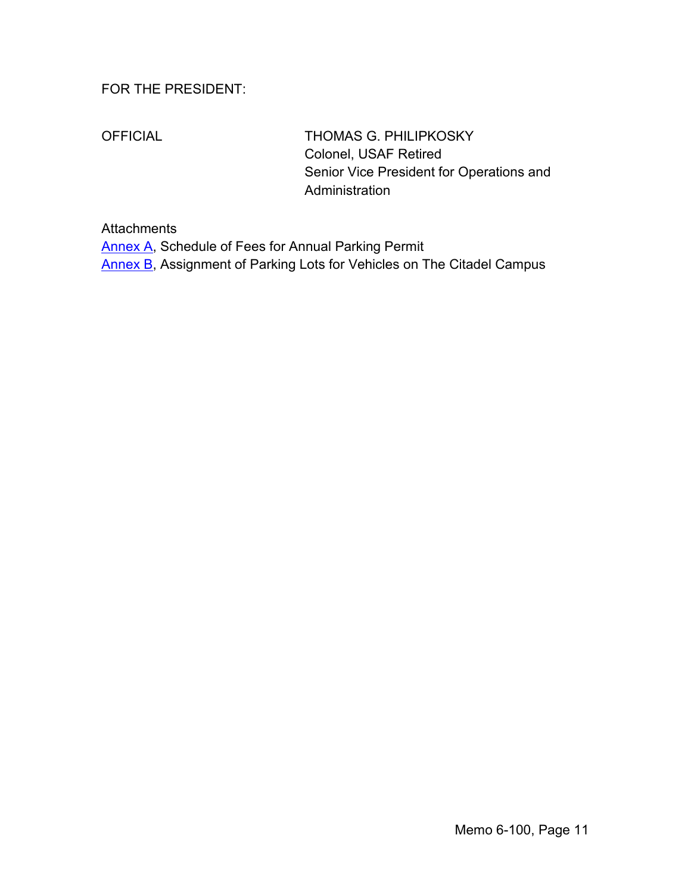# FOR THE PRESIDENT:

OFFICIAL THOMAS G. PHILIPKOSKY Colonel, USAF Retired Senior Vice President for Operations and Administration

## **Attachments**

[Annex A,](#page-11-0) Schedule of Fees for Annual Parking Permit [Annex B,](#page-13-0) Assignment of Parking Lots for Vehicles on The Citadel Campus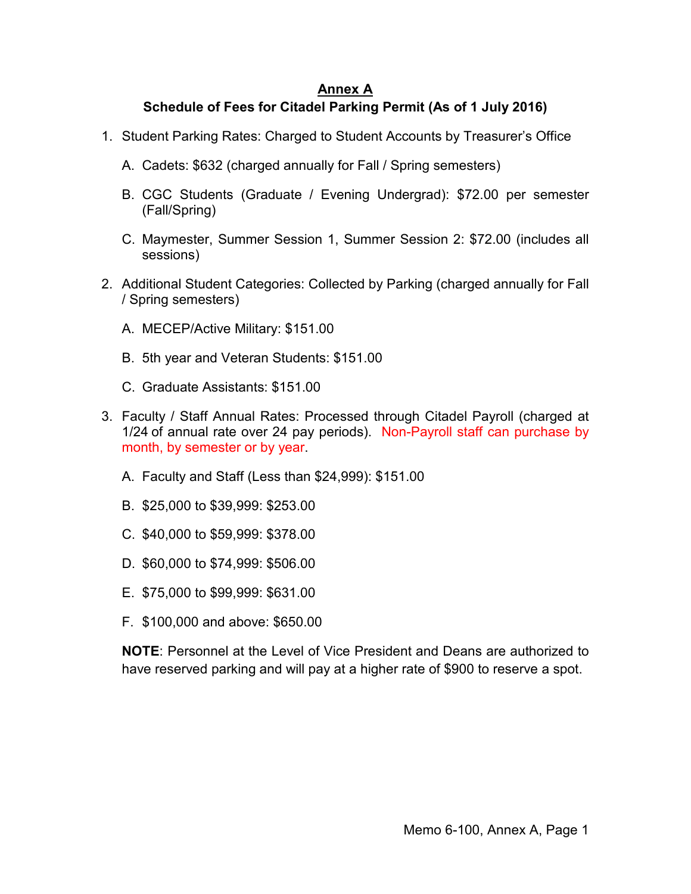# **Annex A**

# <span id="page-11-0"></span>**Schedule of Fees for Citadel Parking Permit (As of 1 July 2016)**

- 1. Student Parking Rates: Charged to Student Accounts by Treasurer's Office
	- A. Cadets: \$632 (charged annually for Fall / Spring semesters)
	- B. CGC Students (Graduate / Evening Undergrad): \$72.00 per semester (Fall/Spring)
	- C. Maymester, Summer Session 1, Summer Session 2: \$72.00 (includes all sessions)
- 2. Additional Student Categories: Collected by Parking (charged annually for Fall / Spring semesters)
	- A. MECEP/Active Military: \$151.00
	- B. 5th year and Veteran Students: \$151.00
	- C. Graduate Assistants: \$151.00
- 3. Faculty / Staff Annual Rates: Processed through Citadel Payroll (charged at 1/24 of annual rate over 24 pay periods). Non-Payroll staff can purchase by month, by semester or by year.
	- A. Faculty and Staff (Less than \$24,999): \$151.00
	- B. \$25,000 to \$39,999: \$253.00
	- C. \$40,000 to \$59,999: \$378.00
	- D. \$60,000 to \$74,999: \$506.00
	- E. \$75,000 to \$99,999: \$631.00
	- F. \$100,000 and above: \$650.00

**NOTE**: Personnel at the Level of Vice President and Deans are authorized to have reserved parking and will pay at a higher rate of \$900 to reserve a spot.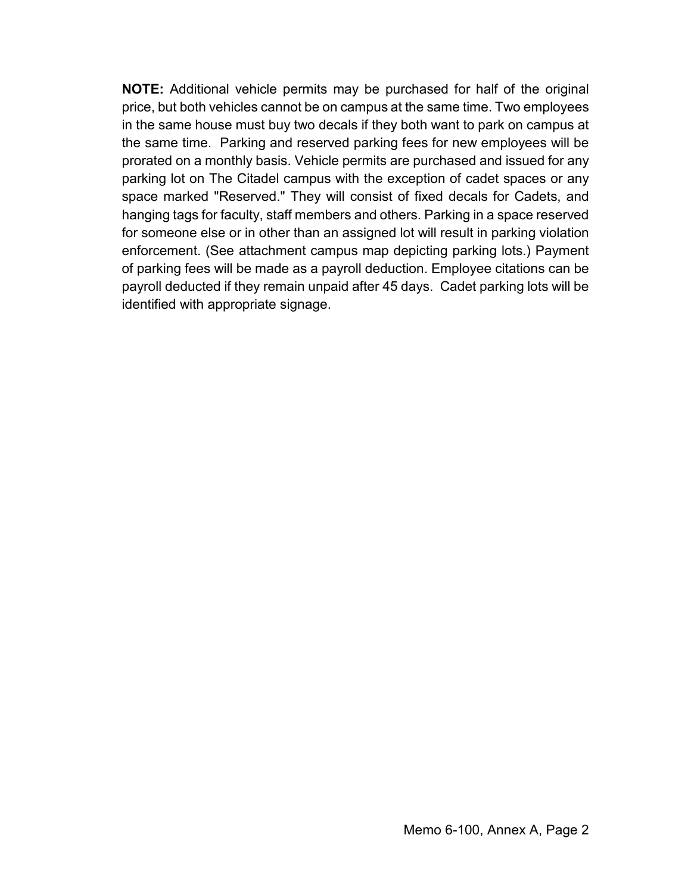**NOTE:** Additional vehicle permits may be purchased for half of the original price, but both vehicles cannot be on campus at the same time. Two employees in the same house must buy two decals if they both want to park on campus at the same time. Parking and reserved parking fees for new employees will be prorated on a monthly basis. Vehicle permits are purchased and issued for any parking lot on The Citadel campus with the exception of cadet spaces or any space marked "Reserved." They will consist of fixed decals for Cadets, and hanging tags for faculty, staff members and others. Parking in a space reserved for someone else or in other than an assigned lot will result in parking violation enforcement. (See attachment campus map depicting parking lots.) Payment of parking fees will be made as a payroll deduction. Employee citations can be payroll deducted if they remain unpaid after 45 days. Cadet parking lots will be identified with appropriate signage.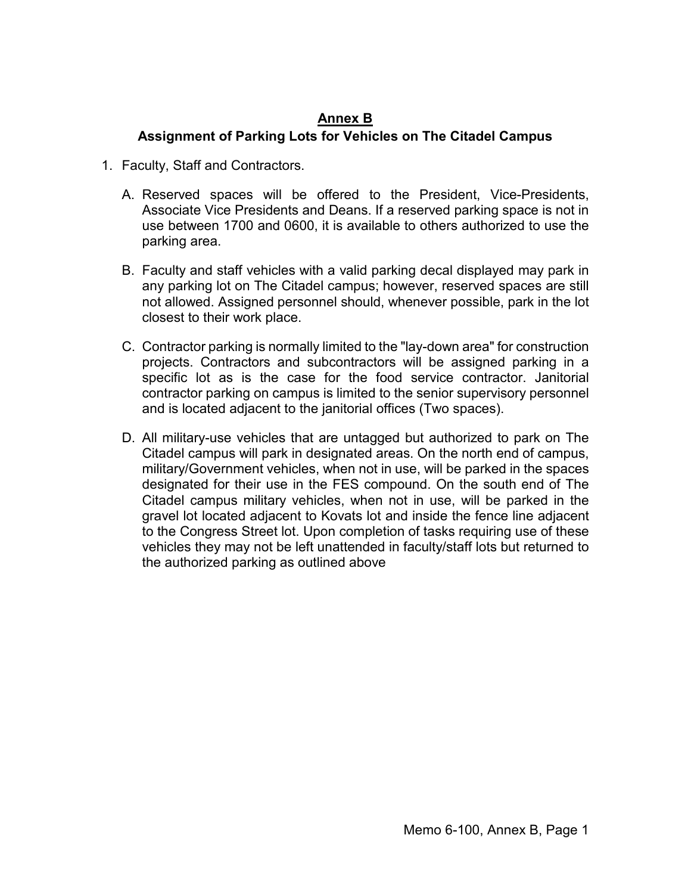# **Annex B**

## <span id="page-13-0"></span>**Assignment of Parking Lots for Vehicles on The Citadel Campus**

- 1. Faculty, Staff and Contractors.
	- A. Reserved spaces will be offered to the President, Vice-Presidents, Associate Vice Presidents and Deans. If a reserved parking space is not in use between 1700 and 0600, it is available to others authorized to use the parking area.
	- B. Faculty and staff vehicles with a valid parking decal displayed may park in any parking lot on The Citadel campus; however, reserved spaces are still not allowed. Assigned personnel should, whenever possible, park in the lot closest to their work place.
	- C. Contractor parking is normally limited to the "lay-down area" for construction projects. Contractors and subcontractors will be assigned parking in a specific lot as is the case for the food service contractor. Janitorial contractor parking on campus is limited to the senior supervisory personnel and is located adjacent to the janitorial offices (Two spaces).
	- D. All military-use vehicles that are untagged but authorized to park on The Citadel campus will park in designated areas. On the north end of campus, military/Government vehicles, when not in use, will be parked in the spaces designated for their use in the FES compound. On the south end of The Citadel campus military vehicles, when not in use, will be parked in the gravel lot located adjacent to Kovats lot and inside the fence line adjacent to the Congress Street lot. Upon completion of tasks requiring use of these vehicles they may not be left unattended in faculty/staff lots but returned to the authorized parking as outlined above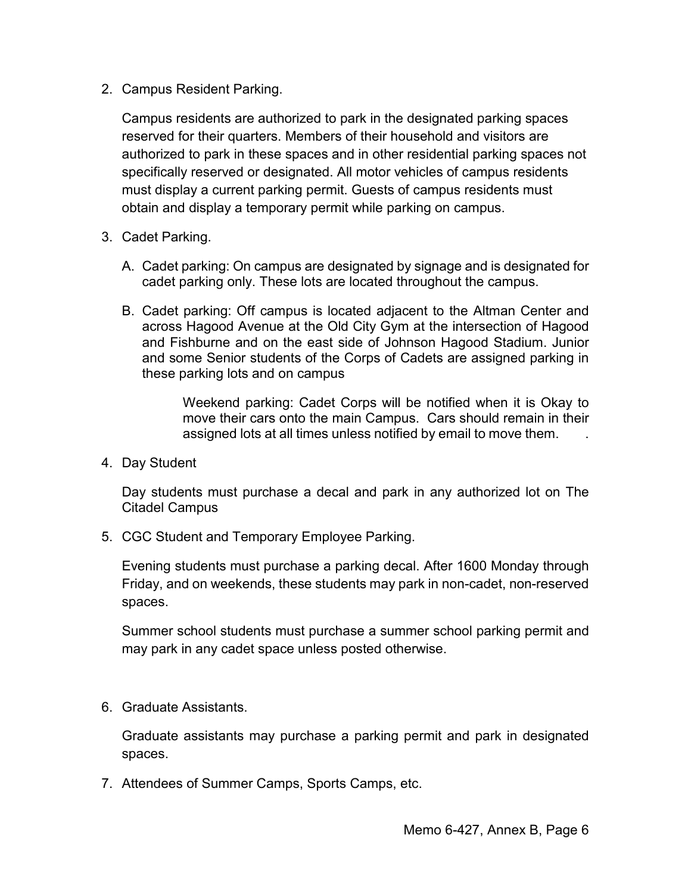2. Campus Resident Parking.

Campus residents are authorized to park in the designated parking spaces reserved for their quarters. Members of their household and visitors are authorized to park in these spaces and in other residential parking spaces not specifically reserved or designated. All motor vehicles of campus residents must display a current parking permit. Guests of campus residents must obtain and display a temporary permit while parking on campus.

- 3. Cadet Parking.
	- A. Cadet parking: On campus are designated by signage and is designated for cadet parking only. These lots are located throughout the campus.
	- B. Cadet parking: Off campus is located adjacent to the Altman Center and across Hagood Avenue at the Old City Gym at the intersection of Hagood and Fishburne and on the east side of Johnson Hagood Stadium. Junior and some Senior students of the Corps of Cadets are assigned parking in these parking lots and on campus

Weekend parking: Cadet Corps will be notified when it is Okay to move their cars onto the main Campus. Cars should remain in their assigned lots at all times unless notified by email to move them. .

4. Day Student

Day students must purchase a decal and park in any authorized lot on The Citadel Campus

5. CGC Student and Temporary Employee Parking.

Evening students must purchase a parking decal. After 1600 Monday through Friday, and on weekends, these students may park in non-cadet, non-reserved spaces.

Summer school students must purchase a summer school parking permit and may park in any cadet space unless posted otherwise.

6. Graduate Assistants.

Graduate assistants may purchase a parking permit and park in designated spaces.

7. Attendees of Summer Camps, Sports Camps, etc.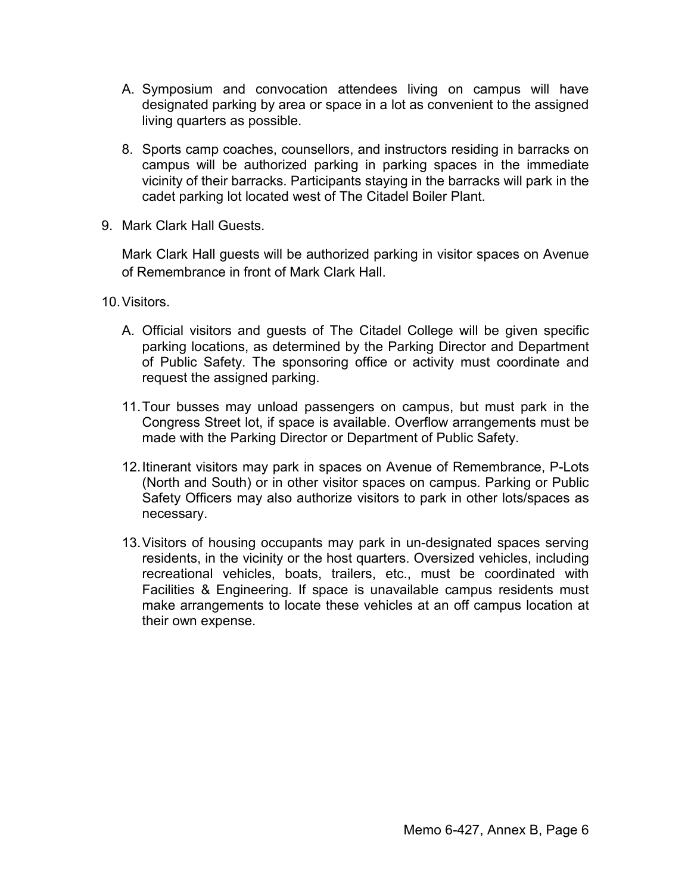- A. Symposium and convocation attendees living on campus will have designated parking by area or space in a lot as convenient to the assigned living quarters as possible.
- 8. Sports camp coaches, counsellors, and instructors residing in barracks on campus will be authorized parking in parking spaces in the immediate vicinity of their barracks. Participants staying in the barracks will park in the cadet parking lot located west of The Citadel Boiler Plant.
- 9. Mark Clark Hall Guests.

Mark Clark Hall guests will be authorized parking in visitor spaces on Avenue of Remembrance in front of Mark Clark Hall.

10.Visitors.

- A. Official visitors and guests of The Citadel College will be given specific parking locations, as determined by the Parking Director and Department of Public Safety. The sponsoring office or activity must coordinate and request the assigned parking.
- 11.Tour busses may unload passengers on campus, but must park in the Congress Street lot, if space is available. Overflow arrangements must be made with the Parking Director or Department of Public Safety.
- 12.Itinerant visitors may park in spaces on Avenue of Remembrance, P-Lots (North and South) or in other visitor spaces on campus. Parking or Public Safety Officers may also authorize visitors to park in other lots/spaces as necessary.
- 13.Visitors of housing occupants may park in un-designated spaces serving residents, in the vicinity or the host quarters. Oversized vehicles, including recreational vehicles, boats, trailers, etc., must be coordinated with Facilities & Engineering. If space is unavailable campus residents must make arrangements to locate these vehicles at an off campus location at their own expense.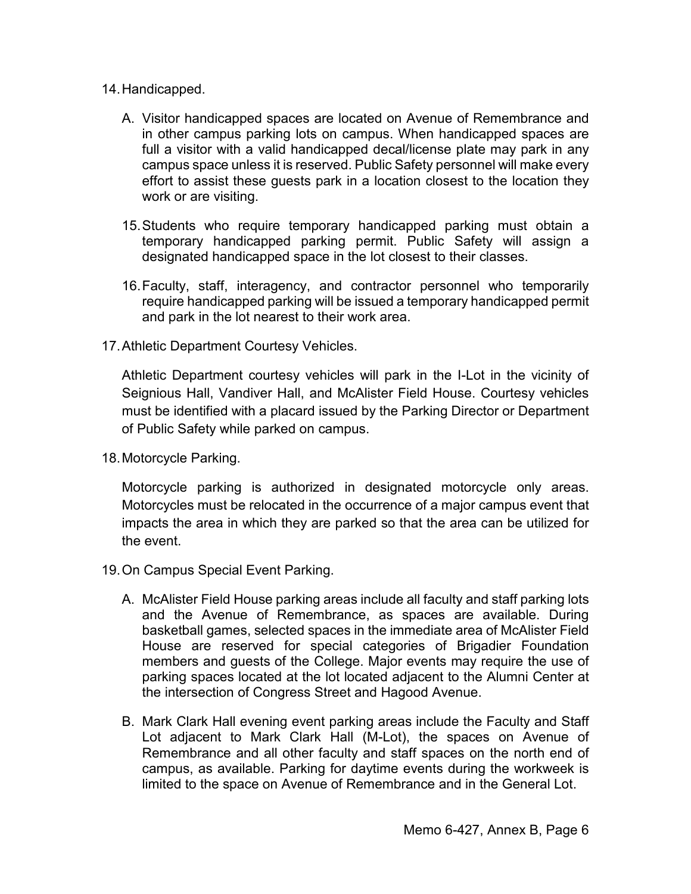- 14.Handicapped.
	- A. Visitor handicapped spaces are located on Avenue of Remembrance and in other campus parking lots on campus. When handicapped spaces are full a visitor with a valid handicapped decal/license plate may park in any campus space unless it is reserved. Public Safety personnel will make every effort to assist these guests park in a location closest to the location they work or are visiting.
	- 15.Students who require temporary handicapped parking must obtain a temporary handicapped parking permit. Public Safety will assign a designated handicapped space in the lot closest to their classes.
	- 16.Faculty, staff, interagency, and contractor personnel who temporarily require handicapped parking will be issued a temporary handicapped permit and park in the lot nearest to their work area.
- 17.Athletic Department Courtesy Vehicles.

Athletic Department courtesy vehicles will park in the I-Lot in the vicinity of Seignious Hall, Vandiver Hall, and McAlister Field House. Courtesy vehicles must be identified with a placard issued by the Parking Director or Department of Public Safety while parked on campus.

18.Motorcycle Parking.

Motorcycle parking is authorized in designated motorcycle only areas. Motorcycles must be relocated in the occurrence of a major campus event that impacts the area in which they are parked so that the area can be utilized for the event.

- 19.On Campus Special Event Parking.
	- A. McAlister Field House parking areas include all faculty and staff parking lots and the Avenue of Remembrance, as spaces are available. During basketball games, selected spaces in the immediate area of McAlister Field House are reserved for special categories of Brigadier Foundation members and guests of the College. Major events may require the use of parking spaces located at the lot located adjacent to the Alumni Center at the intersection of Congress Street and Hagood Avenue.
	- B. Mark Clark Hall evening event parking areas include the Faculty and Staff Lot adjacent to Mark Clark Hall (M-Lot), the spaces on Avenue of Remembrance and all other faculty and staff spaces on the north end of campus, as available. Parking for daytime events during the workweek is limited to the space on Avenue of Remembrance and in the General Lot.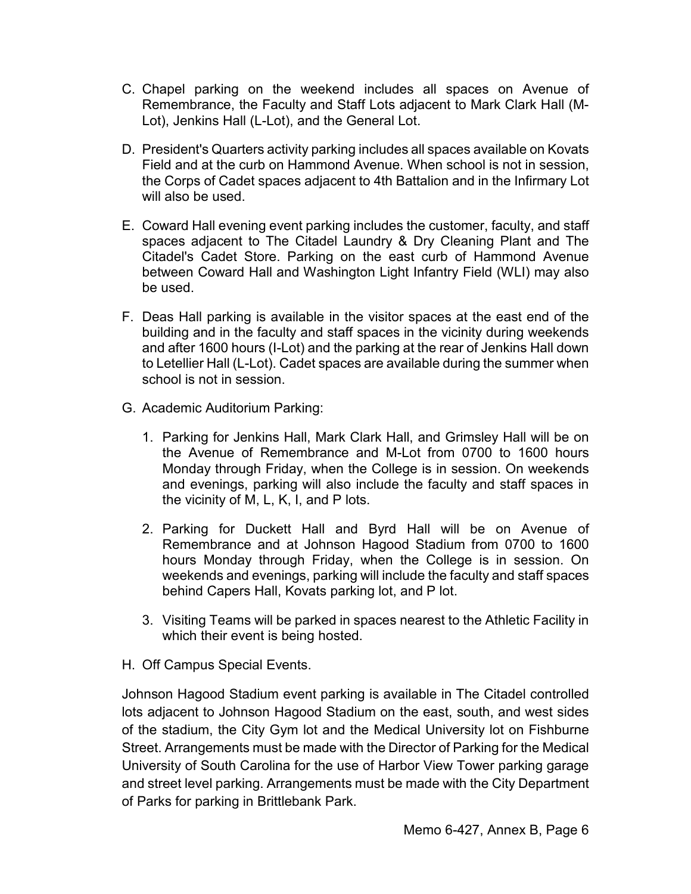- C. Chapel parking on the weekend includes all spaces on Avenue of Remembrance, the Faculty and Staff Lots adjacent to Mark Clark Hall (M-Lot), Jenkins Hall (L-Lot), and the General Lot.
- D. President's Quarters activity parking includes all spaces available on Kovats Field and at the curb on Hammond Avenue. When school is not in session, the Corps of Cadet spaces adjacent to 4th Battalion and in the Infirmary Lot will also be used.
- E. Coward Hall evening event parking includes the customer, faculty, and staff spaces adjacent to The Citadel Laundry & Dry Cleaning Plant and The Citadel's Cadet Store. Parking on the east curb of Hammond Avenue between Coward Hall and Washington Light Infantry Field (WLI) may also be used.
- F. Deas Hall parking is available in the visitor spaces at the east end of the building and in the faculty and staff spaces in the vicinity during weekends and after 1600 hours (I-Lot) and the parking at the rear of Jenkins Hall down to Letellier Hall (L-Lot). Cadet spaces are available during the summer when school is not in session.
- G. Academic Auditorium Parking:
	- 1. Parking for Jenkins Hall, Mark Clark Hall, and Grimsley Hall will be on the Avenue of Remembrance and M-Lot from 0700 to 1600 hours Monday through Friday, when the College is in session. On weekends and evenings, parking will also include the faculty and staff spaces in the vicinity of M, L, K, I, and P lots.
	- 2. Parking for Duckett Hall and Byrd Hall will be on Avenue of Remembrance and at Johnson Hagood Stadium from 0700 to 1600 hours Monday through Friday, when the College is in session. On weekends and evenings, parking will include the faculty and staff spaces behind Capers Hall, Kovats parking lot, and P lot.
	- 3. Visiting Teams will be parked in spaces nearest to the Athletic Facility in which their event is being hosted.
- H. Off Campus Special Events.

Johnson Hagood Stadium event parking is available in The Citadel controlled lots adjacent to Johnson Hagood Stadium on the east, south, and west sides of the stadium, the City Gym lot and the Medical University lot on Fishburne Street. Arrangements must be made with the Director of Parking for the Medical University of South Carolina for the use of Harbor View Tower parking garage and street level parking. Arrangements must be made with the City Department of Parks for parking in Brittlebank Park.